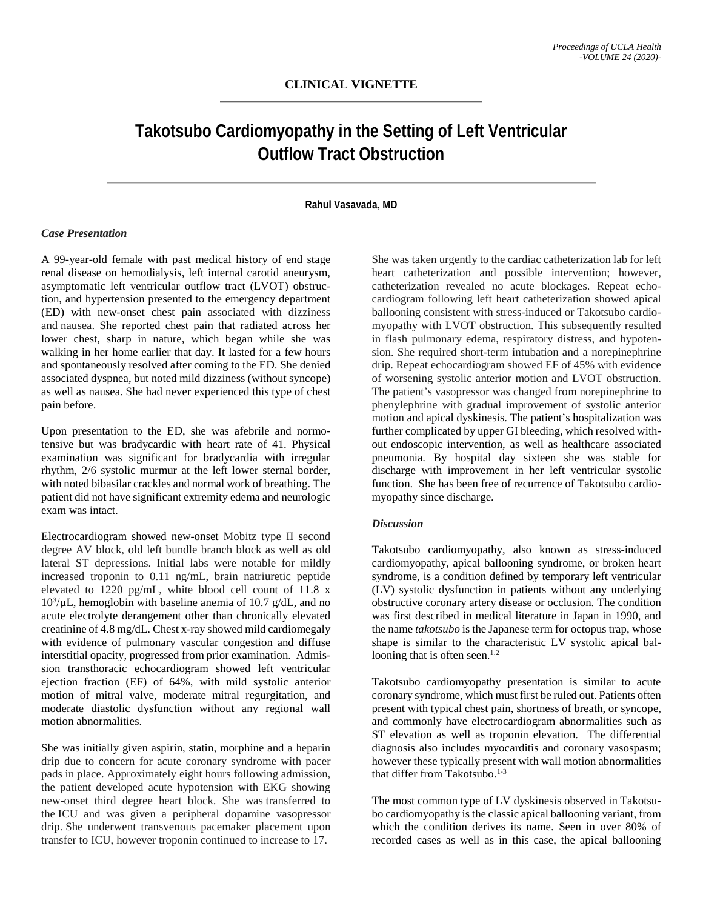## **CLINICAL VIGNETTE**

# **Takotsubo Cardiomyopathy in the Setting of Left Ventricular Outflow Tract Obstruction**

### **Rahul Vasavada, MD**

## *Case Presentation*

A 99-year-old female with past medical history of end stage renal disease on hemodialysis, left internal carotid aneurysm, asymptomatic left ventricular outflow tract (LVOT) obstruction, and hypertension presented to the emergency department (ED) with new-onset chest pain associated with dizziness and nausea. She reported chest pain that radiated across her lower chest, sharp in nature, which began while she was walking in her home earlier that day. It lasted for a few hours and spontaneously resolved after coming to the ED. She denied associated dyspnea, but noted mild dizziness (without syncope) as well as nausea. She had never experienced this type of chest pain before.

Upon presentation to the ED, she was afebrile and normotensive but was bradycardic with heart rate of 41. Physical examination was significant for bradycardia with irregular rhythm, 2/6 systolic murmur at the left lower sternal border, with noted bibasilar crackles and normal work of breathing. The patient did not have significant extremity edema and neurologic exam was intact.

Electrocardiogram showed new-onset Mobitz type II second degree AV block, old left bundle branch block as well as old lateral ST depressions. Initial labs were notable for mildly increased troponin to 0.11 ng/mL, brain natriuretic peptide elevated to 1220 pg/mL, white blood cell count of 11.8 x  $10^3/\mu$ L, hemoglobin with baseline anemia of 10.7 g/dL, and no acute electrolyte derangement other than chronically elevated creatinine of 4.8 mg/dL. Chest x-ray showed mild cardiomegaly with evidence of pulmonary vascular congestion and diffuse interstitial opacity, progressed from prior examination. Admission transthoracic echocardiogram showed left ventricular ejection fraction (EF) of 64%, with mild systolic anterior motion of mitral valve, moderate mitral regurgitation, and moderate diastolic dysfunction without any regional wall motion abnormalities.

She was initially given aspirin, statin, morphine and a heparin drip due to concern for acute coronary syndrome with pacer pads in place. Approximately eight hours following admission, the patient developed acute hypotension with EKG showing new-onset third degree heart block. She was transferred to the ICU and was given a peripheral dopamine vasopressor drip. She underwent transvenous pacemaker placement upon transfer to ICU, however troponin continued to increase to 17.

She was taken urgently to the cardiac catheterization lab for left heart catheterization and possible intervention; however, catheterization revealed no acute blockages. Repeat echocardiogram following left heart catheterization showed apical ballooning consistent with stress-induced or Takotsubo cardiomyopathy with LVOT obstruction. This subsequently resulted in flash pulmonary edema, respiratory distress, and hypotension. She required short-term intubation and a norepinephrine drip. Repeat echocardiogram showed EF of 45% with evidence of worsening systolic anterior motion and LVOT obstruction. The patient's vasopressor was changed from norepinephrine to phenylephrine with gradual improvement of systolic anterior motion and apical dyskinesis. The patient's hospitalization was further complicated by upper GI bleeding, which resolved without endoscopic intervention, as well as healthcare associated pneumonia. By hospital day sixteen she was stable for discharge with improvement in her left ventricular systolic function. She has been free of recurrence of Takotsubo cardiomyopathy since discharge.

#### *Discussion*

Takotsubo cardiomyopathy, also known as stress-induced cardiomyopathy, apical ballooning syndrome, or broken heart syndrome, is a condition defined by temporary left ventricular (LV) systolic dysfunction in patients without any underlying obstructive coronary artery disease or occlusion. The condition was first described in medical literature in Japan in 1990, and the name *takotsubo* is the Japanese term for octopus trap, whose shape is similar to the characteristic LV systolic apical ballooning that is often seen. $1,2$ 

Takotsubo cardiomyopathy presentation is similar to acute coronary syndrome, which must first be ruled out. Patients often present with typical chest pain, shortness of breath, or syncope, and commonly have electrocardiogram abnormalities such as ST elevation as well as troponin elevation. The differential diagnosis also includes myocarditis and coronary vasospasm; however these typically present with wall motion abnormalities that differ from Takotsubo.<sup>1-3</sup>

The most common type of LV dyskinesis observed in Takotsubo cardiomyopathy is the classic apical ballooning variant, from which the condition derives its name. Seen in over 80% of recorded cases as well as in this case, the apical ballooning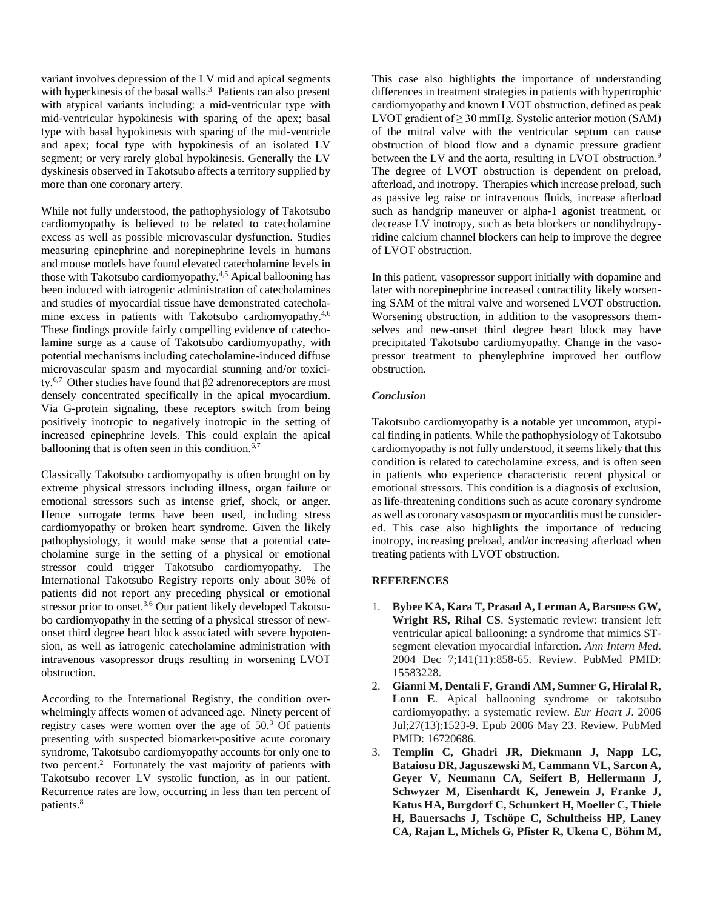variant involves depression of the LV mid and apical segments with hyperkinesis of the basal walls.<sup>3</sup> Patients can also present with atypical variants including: a mid-ventricular type with mid-ventricular hypokinesis with sparing of the apex; basal type with basal hypokinesis with sparing of the mid-ventricle and apex; focal type with hypokinesis of an isolated LV segment; or very rarely global hypokinesis. Generally the LV dyskinesis observed in Takotsubo affects a territory supplied by more than one coronary artery.

While not fully understood, the pathophysiology of Takotsubo cardiomyopathy is believed to be related to catecholamine excess as well as possible microvascular dysfunction. Studies measuring epinephrine and norepinephrine levels in humans and mouse models have found elevated catecholamine levels in those with Takotsubo cardiomyopathy.4,5 Apical ballooning has been induced with iatrogenic administration of catecholamines and studies of myocardial tissue have demonstrated catecholamine excess in patients with Takotsubo cardiomyopathy.<sup>4,6</sup> These findings provide fairly compelling evidence of catecholamine surge as a cause of Takotsubo cardiomyopathy, with potential mechanisms including catecholamine-induced diffuse microvascular spasm and myocardial stunning and/or toxicity.<sup>6,7</sup> Other studies have found that β2 adrenoreceptors are most densely concentrated specifically in the apical myocardium. Via G-protein signaling, these receptors switch from being positively inotropic to negatively inotropic in the setting of increased epinephrine levels. This could explain the apical ballooning that is often seen in this condition. $6,7$ 

Classically Takotsubo cardiomyopathy is often brought on by extreme physical stressors including illness, organ failure or emotional stressors such as intense grief, shock, or anger. Hence surrogate terms have been used, including stress cardiomyopathy or broken heart syndrome. Given the likely pathophysiology, it would make sense that a potential catecholamine surge in the setting of a physical or emotional stressor could trigger Takotsubo cardiomyopathy. The International Takotsubo Registry reports only about 30% of patients did not report any preceding physical or emotional stressor prior to onset.<sup>3,6</sup> Our patient likely developed Takotsubo cardiomyopathy in the setting of a physical stressor of newonset third degree heart block associated with severe hypotension, as well as iatrogenic catecholamine administration with intravenous vasopressor drugs resulting in worsening LVOT obstruction.

According to the International Registry, the condition overwhelmingly affects women of advanced age. Ninety percent of registry cases were women over the age of 50.3 Of patients presenting with suspected biomarker-positive acute coronary syndrome, Takotsubo cardiomyopathy accounts for only one to two percent.2 Fortunately the vast majority of patients with Takotsubo recover LV systolic function, as in our patient. Recurrence rates are low, occurring in less than ten percent of patients.8

This case also highlights the importance of understanding differences in treatment strategies in patients with hypertrophic cardiomyopathy and known LVOT obstruction, defined as peak LVOT gradient of  $\geq$  30 mmHg. Systolic anterior motion (SAM) of the mitral valve with the ventricular septum can cause obstruction of blood flow and a dynamic pressure gradient between the LV and the aorta, resulting in LVOT obstruction.<sup>9</sup> The degree of LVOT obstruction is dependent on preload, afterload, and inotropy. Therapies which increase preload, such as passive leg raise or intravenous fluids, increase afterload such as handgrip maneuver or alpha-1 agonist treatment, or decrease LV inotropy, such as beta blockers or nondihydropyridine calcium channel blockers can help to improve the degree of LVOT obstruction.

In this patient, vasopressor support initially with dopamine and later with norepinephrine increased contractility likely worsening SAM of the mitral valve and worsened LVOT obstruction. Worsening obstruction, in addition to the vasopressors themselves and new-onset third degree heart block may have precipitated Takotsubo cardiomyopathy. Change in the vasopressor treatment to phenylephrine improved her outflow obstruction.

## *Conclusion*

Takotsubo cardiomyopathy is a notable yet uncommon, atypical finding in patients. While the pathophysiology of Takotsubo cardiomyopathy is not fully understood, it seems likely that this condition is related to catecholamine excess, and is often seen in patients who experience characteristic recent physical or emotional stressors. This condition is a diagnosis of exclusion, as life-threatening conditions such as acute coronary syndrome as well as coronary vasospasm or myocarditis must be considered. This case also highlights the importance of reducing inotropy, increasing preload, and/or increasing afterload when treating patients with LVOT obstruction.

### **REFERENCES**

- 1. **Bybee KA, Kara T, Prasad A, Lerman A, Barsness GW, Wright RS, Rihal CS**. Systematic review: transient left ventricular apical ballooning: a syndrome that mimics STsegment elevation myocardial infarction. *Ann Intern Med*. 2004 Dec 7;141(11):858-65. Review. PubMed PMID: 15583228.
- 2. **Gianni M, Dentali F, Grandi AM, Sumner G, Hiralal R, Lonn E**. Apical ballooning syndrome or takotsubo cardiomyopathy: a systematic review. *Eur Heart J*. 2006 Jul;27(13):1523-9. Epub 2006 May 23. Review. PubMed PMID: 16720686.
- 3. **Templin C, Ghadri JR, Diekmann J, Napp LC, Bataiosu DR, Jaguszewski M, Cammann VL, Sarcon A, Geyer V, Neumann CA, Seifert B, Hellermann J, Schwyzer M, Eisenhardt K, Jenewein J, Franke J, Katus HA, Burgdorf C, Schunkert H, Moeller C, Thiele H, Bauersachs J, Tschöpe C, Schultheiss HP, Laney CA, Rajan L, Michels G, Pfister R, Ukena C, Böhm M,**